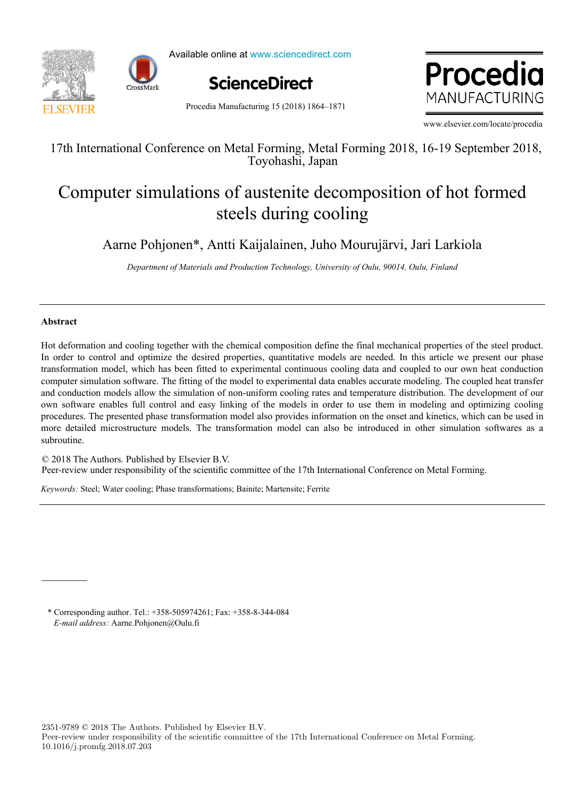



Available online at www.sciencedirect.com



where  $\mathbb{R}$ ww.enk MANUFACTURING

Procedia Manufacturing 15 (2018) 1864–1871

www.elsevier.com/locate/procedia

 $174 \text{ J} \cdot \frac{(10.6 \text{ m})}{10.6 \text{ m}} = \frac{16.1 \text{ F}}{10.4 \text{ m}} = \frac{16.1 \text{ m}}{10.4 \text{ m}} = \frac{2010.1610 \text{ m}}{10.4 \text{ m}} = 1.2018$ 17th International Conference on Metal Forming, Metal Forming 2018, 16-19 September 2018, Toyohashi, Japan

#### Computer simulations of austentie decomposition of not formed steels during cooling Computer simulations of austenite decomposition of hot formed Computer simulations of austenite decomposition of hot formed steels during cooling

Aarne Pohjonen\*, Antti Kaijalainen, Juho Mourujärvi, Jari Larkiola Aarne Pohjonen\*, Antti Kaijalainen, Juho Mourujärvi, Jari Larkiola

Department of Materials and Production Technology, University of Oulu, 90014, Oulu, Finland

# **Abstract**

transformation model, which has been fitted to experimental continuous cooling data and coupled to our own heat conduction and conduction models allow the simulation of non-uniform cooling rates and temperature distribution. The development of our and conduction models allow the simulation of non-uniform cooling rates and temperature distribution. The development of our<br>own software enables full control and easy linking of the models in order to use them in modeling procedures. The presented phase transformation model also provides information on the onset and kinetics, which can be used in more detailed microstructure models. The transformation model can also be introduced in other simulation softwares as a authentine  $\mathbf{S}$  distribution. The study optimization and costing models is an important research topic that deserves  $\mathbf{S}$ Hot deformation and cooling together with the chemical composition define the final mechanical properties of the steel product. In order to control and optimize the desired properties, quantitative models are needed. In this article we present our phase computer simulation software. The fitting of the model to experimental data enables accurate modeling. The coupled heat transfer subroutine.

© 2018 The Authors. Published by Elsevier B.V. Let 2018 The Authors. Fubrished by Eisevier B.V.<br>Peer-review under responsibility of the scientific committee of the 17th International Conference on Metal Forming. Peer-review under responsibility of the scientific committee of the 17th International Conference on Metal Forming.

Keywords: Steel; Water cooling; Phase transformations; Bainite; Martensite; Ferrite value. The trade-off capacity maximization vs operation vs operation vs operation  $\alpha$ 

**1. Introduction**  \* Corresponding author. Tel.: +358-505974261; Fax: +358-8-344-084  $T$  is a fundamental information for companies and the information for companies and their management of extreme importance importance importance importance importance importance importance importance importance importanc *E-mail address:* Aarne. Pohjonen@Oulu.fi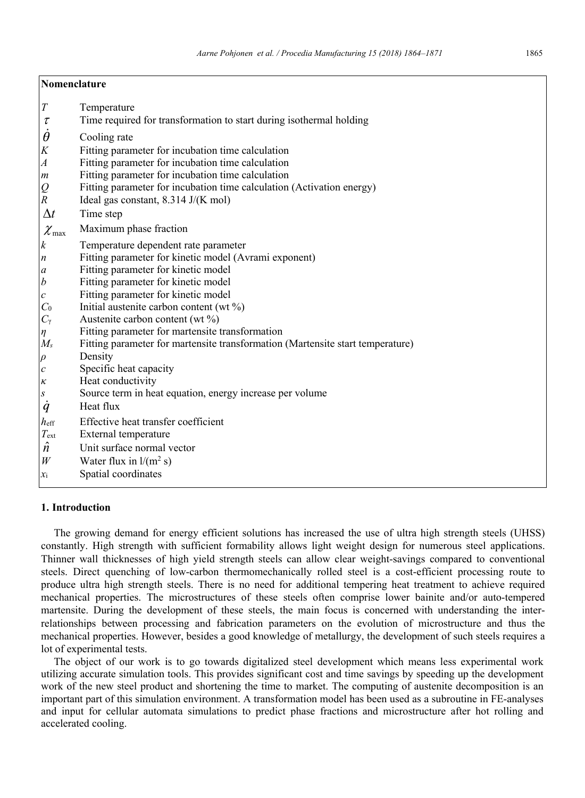| Nomenclature            |                                                                                |  |  |  |  |  |
|-------------------------|--------------------------------------------------------------------------------|--|--|--|--|--|
| $\boldsymbol{T}$        | Temperature                                                                    |  |  |  |  |  |
| $\tau$                  | Time required for transformation to start during isothermal holding            |  |  |  |  |  |
| $\theta$                | Cooling rate                                                                   |  |  |  |  |  |
| K                       | Fitting parameter for incubation time calculation                              |  |  |  |  |  |
| $\boldsymbol{A}$        | Fitting parameter for incubation time calculation                              |  |  |  |  |  |
| $\boldsymbol{m}$        | Fitting parameter for incubation time calculation                              |  |  |  |  |  |
| $\mathop{Q}\limits_{R}$ | Fitting parameter for incubation time calculation (Activation energy)          |  |  |  |  |  |
|                         | Ideal gas constant, 8.314 J/(K mol)                                            |  |  |  |  |  |
| $\Delta t$              | Time step                                                                      |  |  |  |  |  |
| $\chi_{\rm max}$        | Maximum phase fraction                                                         |  |  |  |  |  |
| k                       | Temperature dependent rate parameter                                           |  |  |  |  |  |
| n                       | Fitting parameter for kinetic model (Avrami exponent)                          |  |  |  |  |  |
| a                       | Fitting parameter for kinetic model                                            |  |  |  |  |  |
| b                       | Fitting parameter for kinetic model                                            |  |  |  |  |  |
| $\it{c}$                | Fitting parameter for kinetic model                                            |  |  |  |  |  |
| $C_0$                   | Initial austenite carbon content (wt %)                                        |  |  |  |  |  |
| $C_{\gamma}$            | Austenite carbon content (wt %)                                                |  |  |  |  |  |
| $\eta$                  | Fitting parameter for martensite transformation                                |  |  |  |  |  |
| $M_s$                   | Fitting parameter for martensite transformation (Martensite start temperature) |  |  |  |  |  |
| $\rho$                  | Density                                                                        |  |  |  |  |  |
| $\mathcal C$            | Specific heat capacity                                                         |  |  |  |  |  |
| к                       | Heat conductivity                                                              |  |  |  |  |  |
| S                       | Source term in heat equation, energy increase per volume<br>Heat flux          |  |  |  |  |  |
| $\dot{q}$               |                                                                                |  |  |  |  |  |
| $h_{\text{eff}}$        | Effective heat transfer coefficient                                            |  |  |  |  |  |
| $T_{\rm ext}$           | External temperature                                                           |  |  |  |  |  |
| $\boldsymbol{n}$        | Unit surface normal vector                                                     |  |  |  |  |  |
| W                       | Water flux in $l/(m^2 s)$                                                      |  |  |  |  |  |
| $\mathcal{X}_1$         | Spatial coordinates                                                            |  |  |  |  |  |

## **1. Introduction**

The growing demand for energy efficient solutions has increased the use of ultra high strength steels (UHSS) constantly. High strength with sufficient formability allows light weight design for numerous steel applications. Thinner wall thicknesses of high yield strength steels can allow clear weight-savings compared to conventional steels. Direct quenching of low-carbon thermomechanically rolled steel is a cost-efficient processing route to produce ultra high strength steels. There is no need for additional tempering heat treatment to achieve required mechanical properties. The microstructures of these steels often comprise lower bainite and/or auto-tempered martensite. During the development of these steels, the main focus is concerned with understanding the interrelationships between processing and fabrication parameters on the evolution of microstructure and thus the mechanical properties. However, besides a good knowledge of metallurgy, the development of such steels requires a lot of experimental tests.

The object of our work is to go towards digitalized steel development which means less experimental work utilizing accurate simulation tools. This provides significant cost and time savings by speeding up the development work of the new steel product and shortening the time to market. The computing of austenite decomposition is an important part of this simulation environment. A transformation model has been used as a subroutine in FE-analyses and input for cellular automata simulations to predict phase fractions and microstructure after hot rolling and accelerated cooling.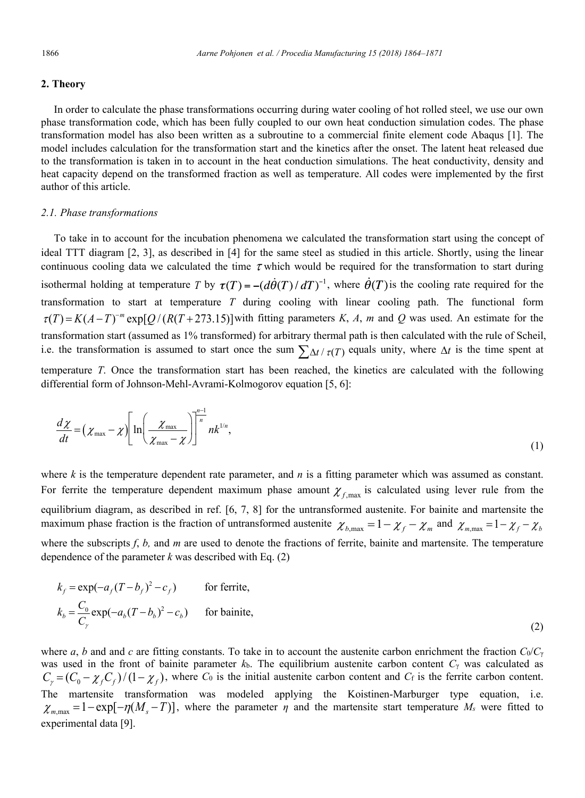## **2. Theory**

In order to calculate the phase transformations occurring during water cooling of hot rolled steel, we use our own phase transformation code, which has been fully coupled to our own heat conduction simulation codes. The phase transformation model has also been written as a subroutine to a commercial finite element code Abaqus [1]. The model includes calculation for the transformation start and the kinetics after the onset. The latent heat released due to the transformation is taken in to account in the heat conduction simulations. The heat conductivity, density and heat capacity depend on the transformed fraction as well as temperature. All codes were implemented by the first author of this article.

### *2.1. Phase transformations*

To take in to account for the incubation phenomena we calculated the transformation start using the concept of ideal TTT diagram [2, 3], as described in [4] for the same steel as studied in this article. Shortly, using the linear continuous cooling data we calculated the time  $\tau$  which would be required for the transformation to start during isothermal holding at temperature *T* by  $\tau(T) = -(d\dot{\theta}(T)/dT)^{-1}$ , where  $\dot{\theta}(T)$  is the cooling rate required for the transformation to start at temperature *T* during cooling with linear cooling path. The functional form  $\tau(T) = K(A-T)^{-m} \exp[Q/(R(T+273.15))]$  with fitting parameters *K*, *A*, *m* and *Q* was used. An estimate for the transformation start (assumed as 1% transformed) for arbitrary thermal path is then calculated with the rule of Scheil, i.e. the transformation is assumed to start once the sum  $\sum_{\Delta t}/\tau(T)$  equals unity, where  $\Delta t$  is the time spent at temperature *T*. Once the transformation start has been reached, the kinetics are calculated with the following differential form of Johnson-Mehl-Avrami-Kolmogorov equation [5, 6]:

$$
\frac{d\chi}{dt} = \left(\chi_{\text{max}} - \chi\right) \left[\ln\left(\frac{\chi_{\text{max}}}{\chi_{\text{max}} - \chi}\right)\right]^{\frac{n-1}{n}} n k^{1/n},\tag{1}
$$

where  $k$  is the temperature dependent rate parameter, and  $n$  is a fitting parameter which was assumed as constant. For ferrite the temperature dependent maximum phase amount  $\chi_{f, \text{max}}$  is calculated using lever rule from the equilibrium diagram, as described in ref. [6, 7, 8] for the untransformed austenite. For bainite and martensite the maximum phase fraction is the fraction of untransformed austenite  $\chi_{b,\text{max}} = 1 - \chi_f - \chi_m$  and  $\chi_{m,\text{max}} = 1 - \chi_f - \chi_b$ where the subscripts  $f$ ,  $b$ , and  $m$  are used to denote the fractions of ferrite, bainite and martensite. The temperature dependence of the parameter *k* was described with Eq. (2)

$$
k_f = \exp(-a_f(T - b_f)^2 - c_f)
$$
 for ferrite,  

$$
k_b = \frac{C_0}{C_\gamma} \exp(-a_b(T - b_b)^2 - c_b)
$$
 for bainte, (2)

where *a*, *b* and and *c* are fitting constants. To take in to account the austenite carbon enrichment the fraction  $C_0/C_\gamma$ was used in the front of bainite parameter *k*b. The equilibrium austenite carbon content *C*<sup>γ</sup> was calculated as  $C_{\gamma} = (C_0 - \chi_f C_f)/(1 - \chi_f)$ , where *C*<sub>0</sub> is the initial austenite carbon content and *C*<sub>f</sub> is the ferrite carbon content. The martensite transformation was modeled applying the Koistinen-Marburger type equation, i.e.  $\chi_{m,\text{max}} = 1 - \exp[-\eta(M_s - T)]$ , where the parameter  $\eta$  and the martensite start temperature  $M_s$  were fitted to experimental data [9].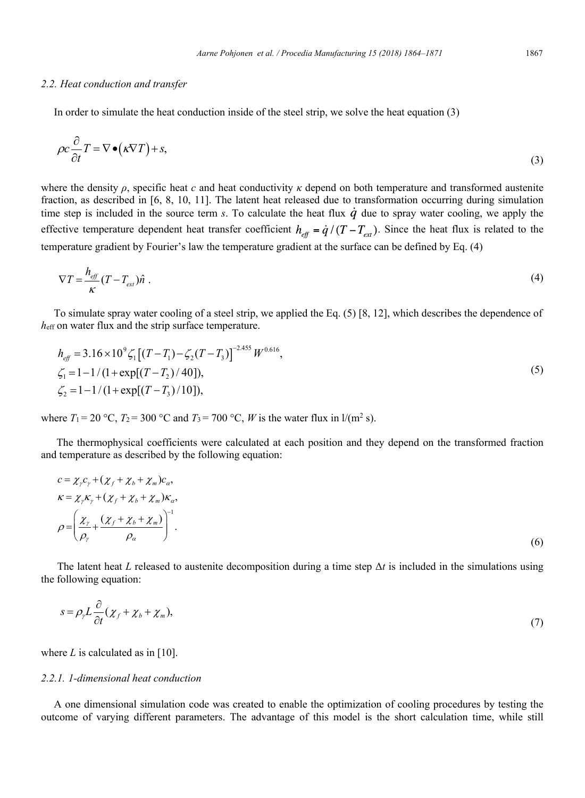### *2.2. Heat conduction and transfer*

In order to simulate the heat conduction inside of the steel strip, we solve the heat equation (3)

$$
\rho c \frac{\partial}{\partial t} T = \nabla \bullet (\kappa \nabla T) + s,\tag{3}
$$

where the density  $\rho$ , specific heat *c* and heat conductivity  $\kappa$  depend on both temperature and transformed austenite fraction, as described in [6, 8, 10, 11]. The latent heat released due to transformation occurring during simulation time step is included in the source term *s*. To calculate the heat flux  $\dot{q}$  due to spray water cooling, we apply the effective temperature dependent heat transfer coefficient  $h_{eff} = \dot{q}/(T - T_{ext})$ . Since the heat flux is related to the temperature gradient by Fourier's law the temperature gradient at the surface can be defined by Eq. (4)

$$
\nabla T = \frac{h_{\text{eff}}}{\kappa} (T - T_{\text{ext}}) \hat{n} \tag{4}
$$

To simulate spray water cooling of a steel strip, we applied the Eq. (5) [8, 12], which describes the dependence of *h*eff on water flux and the strip surface temperature.

$$
h_{\text{eff}} = 3.16 \times 10^{9} \zeta_{1} \left[ (T - T_{1}) - \zeta_{2} (T - T_{3}) \right]^{-2.455} W^{0.616},
$$
  
\n
$$
\zeta_{1} = 1 - 1/(1 + \exp[(T - T_{2})/40]),
$$
  
\n
$$
\zeta_{2} = 1 - 1/(1 + \exp[(T - T_{3})/10]),
$$
\n(5)

where  $T_1 = 20$  °C,  $T_2 = 300$  °C and  $T_3 = 700$  °C, *W* is the water flux in  $1/(m^2 s)$ .

The thermophysical coefficients were calculated at each position and they depend on the transformed fraction and temperature as described by the following equation:

$$
c = \chi_{\gamma} c_{\gamma} + (\chi_{f} + \chi_{b} + \chi_{m})c_{\alpha},
$$
  
\n
$$
\kappa = \chi_{\gamma} \kappa_{\gamma} + (\chi_{f} + \chi_{b} + \chi_{m})\kappa_{\alpha},
$$
  
\n
$$
\rho = \left(\frac{\chi_{\gamma}}{\rho_{\gamma}} + \frac{(\chi_{f} + \chi_{b} + \chi_{m})}{\rho_{\alpha}}\right)^{-1}.
$$
\n(6)

The latent heat *L* released to austenite decomposition during a time step Δ*t* is included in the simulations using the following equation:

$$
s = \rho_{\gamma} L \frac{\partial}{\partial t} (\chi_f + \chi_b + \chi_m), \tag{7}
$$

where  $L$  is calculated as in  $[10]$ .

## *2.2.1. 1-dimensional heat conduction*

A one dimensional simulation code was created to enable the optimization of cooling procedures by testing the outcome of varying different parameters. The advantage of this model is the short calculation time, while still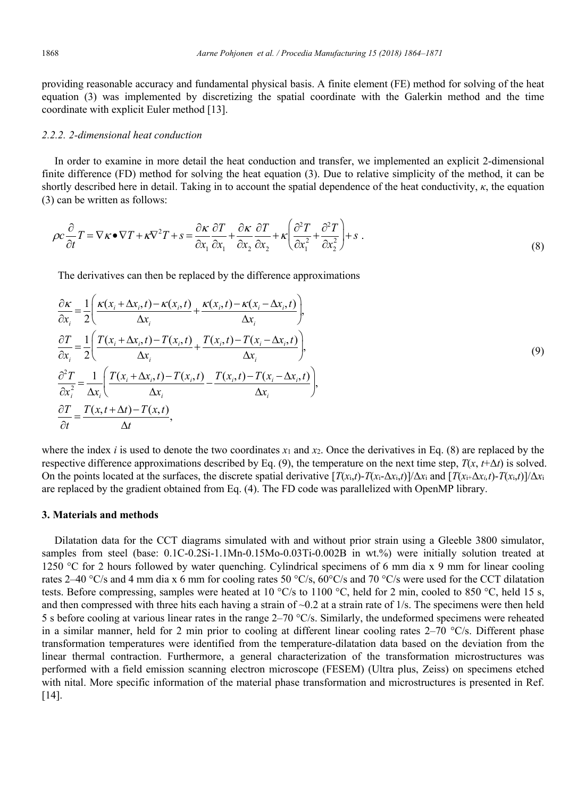providing reasonable accuracy and fundamental physical basis. A finite element (FE) method for solving of the heat equation (3) was implemented by discretizing the spatial coordinate with the Galerkin method and the time coordinate with explicit Euler method [13].

# *2.2.2. 2-dimensional heat conduction*

In order to examine in more detail the heat conduction and transfer, we implemented an explicit 2-dimensional finite difference (FD) method for solving the heat equation (3). Due to relative simplicity of the method, it can be shortly described here in detail. Taking in to account the spatial dependence of the heat conductivity, *κ*, the equation (3) can be written as follows:

$$
\rho c \frac{\partial}{\partial t} T = \nabla \kappa \bullet \nabla T + \kappa \nabla^2 T + s = \frac{\partial \kappa}{\partial x_1} \frac{\partial T}{\partial x_1} + \frac{\partial \kappa}{\partial x_2} \frac{\partial T}{\partial x_2} + \kappa \left( \frac{\partial^2 T}{\partial x_1^2} + \frac{\partial^2 T}{\partial x_2^2} \right) + s \tag{8}
$$

The derivatives can then be replaced by the difference approximations

$$
\frac{\partial \kappa}{\partial x_i} = \frac{1}{2} \left( \frac{\kappa(x_i + \Delta x_i, t) - \kappa(x_i, t)}{\Delta x_i} + \frac{\kappa(x_i, t) - \kappa(x_i - \Delta x_i, t)}{\Delta x_i} \right),
$$
\n
$$
\frac{\partial T}{\partial x_i} = \frac{1}{2} \left( \frac{T(x_i + \Delta x_i, t) - T(x_i, t)}{\Delta x_i} + \frac{T(x_i, t) - T(x_i - \Delta x_i, t)}{\Delta x_i} \right),
$$
\n
$$
\frac{\partial^2 T}{\partial x_i^2} = \frac{1}{\Delta x_i} \left( \frac{T(x_i + \Delta x_i, t) - T(x_i, t)}{\Delta x_i} - \frac{T(x_i, t) - T(x_i - \Delta x_i, t)}{\Delta x_i} \right),
$$
\n
$$
\frac{\partial T}{\partial t} = \frac{T(x_i, t + \Delta t) - T(x_i, t)}{\Delta t},
$$
\n(9)

where the index *i* is used to denote the two coordinates  $x_1$  and  $x_2$ . Once the derivatives in Eq. (8) are replaced by the respective difference approximations described by Eq. (9), the temperature on the next time step,  $T(x, t+\Delta t)$  is solved. On the points located at the surfaces, the discrete spatial derivative  $[T(x_i,t)-T(x_i-\Delta x_i,t)]/\Delta x_i$  and  $[T(x_i+\Delta x_i,t)-T(x_i,t)]/\Delta x_i$ are replaced by the gradient obtained from Eq. (4). The FD code was parallelized with OpenMP library.

### **3. Materials and methods**

Dilatation data for the CCT diagrams simulated with and without prior strain using a Gleeble 3800 simulator, samples from steel (base: 0.1C-0.2Si-1.1Mn-0.15Mo-0.03Ti-0.002B in wt.%) were initially solution treated at 1250 °C for 2 hours followed by water quenching. Cylindrical specimens of 6 mm dia x 9 mm for linear cooling rates 2–40 °C/s and 4 mm dia x 6 mm for cooling rates 50 °C/s, 60°C/s and 70 °C/s were used for the CCT dilatation tests. Before compressing, samples were heated at 10  $\degree$ C/s to 1100  $\degree$ C, held for 2 min, cooled to 850  $\degree$ C, held 15 s, and then compressed with three hits each having a strain of  $\sim 0.2$  at a strain rate of  $1/s$ . The specimens were then held 5 s before cooling at various linear rates in the range 2–70 °C/s. Similarly, the undeformed specimens were reheated in a similar manner, held for 2 min prior to cooling at different linear cooling rates  $2-70$  °C/s. Different phase transformation temperatures were identified from the temperature-dilatation data based on the deviation from the linear thermal contraction. Furthermore, a general characterization of the transformation microstructures was performed with a field emission scanning electron microscope (FESEM) (Ultra plus, Zeiss) on specimens etched with nital. More specific information of the material phase transformation and microstructures is presented in Ref. [14].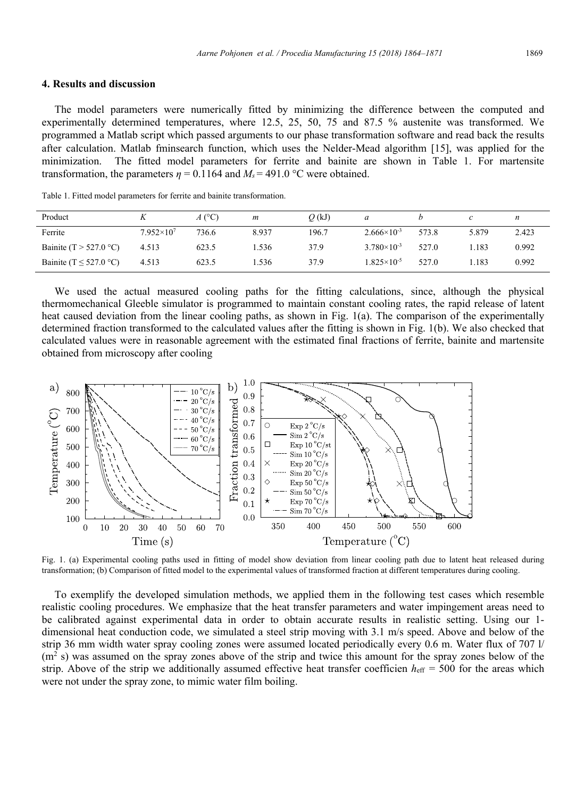## **4. Results and discussion**

The model parameters were numerically fitted by minimizing the difference between the computed and experimentally determined temperatures, where 12.5, 25, 50, 75 and 87.5 % austenite was transformed. We programmed a Matlab script which passed arguments to our phase transformation software and read back the results after calculation. Matlab fminsearch function, which uses the Nelder-Mead algorithm [15], was applied for the minimization. The fitted model parameters for ferrite and bainite are shown in Table 1. For martensite transformation, the parameters  $\eta = 0.1164$  and  $M_s = 491.0$  °C were obtained.

| Product                     |                     | $A(^{\circ}C)$ | $\boldsymbol{m}$ | $Q$ (kJ) | a                      |       |       | n     |
|-----------------------------|---------------------|----------------|------------------|----------|------------------------|-------|-------|-------|
| Ferrite                     | $7.952\times10^{7}$ | 736.6          | 8.937            | 196.7    | $2.666 \times 10^{-3}$ | 573.8 | 5.879 | 2.423 |
| Bainite (T > 527.0 °C)      | 4.513               | 623.5          | . 536            | 37.9     | $3.780 \times 10^{-3}$ | 527.0 | . 183 | 0.992 |
| Bainite (T $\leq$ 527.0 °C) | 4.513               | 623.5          | . . 536          | 37.9     | $1.825\times10^{-5}$   | 527.0 | .183  | 0.992 |

Table 1. Fitted model parameters for ferrite and bainite transformation.

We used the actual measured cooling paths for the fitting calculations, since, although the physical thermomechanical Gleeble simulator is programmed to maintain constant cooling rates, the rapid release of latent heat caused deviation from the linear cooling paths, as shown in Fig. 1(a). The comparison of the experimentally determined fraction transformed to the calculated values after the fitting is shown in Fig. 1(b). We also checked that calculated values were in reasonable agreement with the estimated final fractions of ferrite, bainite and martensite obtained from microscopy after cooling



Fig. 1. (a) Experimental cooling paths used in fitting of model show deviation from linear cooling path due to latent heat released during transformation; (b) Comparison of fitted model to the experimental values of transformed fraction at different temperatures during cooling.

To exemplify the developed simulation methods, we applied them in the following test cases which resemble realistic cooling procedures. We emphasize that the heat transfer parameters and water impingement areas need to be calibrated against experimental data in order to obtain accurate results in realistic setting. Using our 1 dimensional heat conduction code, we simulated a steel strip moving with 3.1 m/s speed. Above and below of the strip 36 mm width water spray cooling zones were assumed located periodically every 0.6 m. Water flux of 707 l/  $(m<sup>2</sup> s)$  was assumed on the spray zones above of the strip and twice this amount for the spray zones below of the strip. Above of the strip we additionally assumed effective heat transfer coefficien  $h_{\text{eff}} = 500$  for the areas which were not under the spray zone, to mimic water film boiling.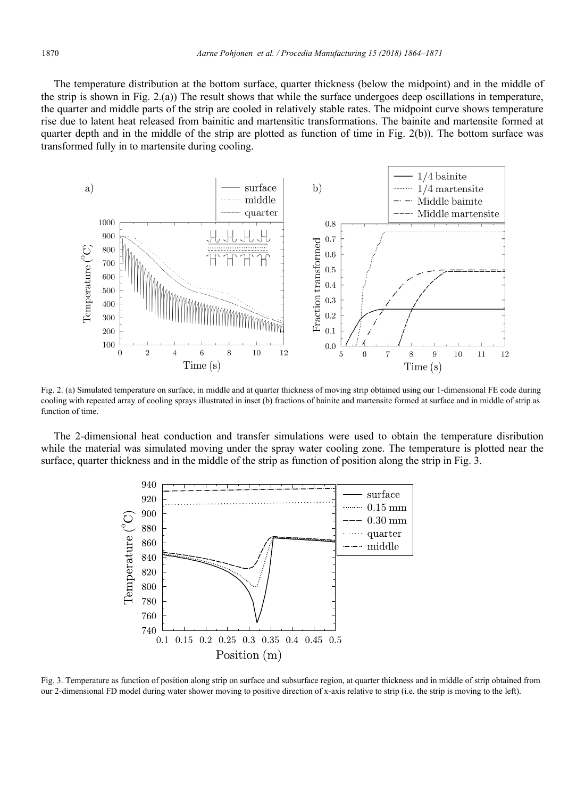The temperature distribution at the bottom surface, quarter thickness (below the midpoint) and in the middle of the strip is shown in Fig. 2.(a)) The result shows that while the surface undergoes deep oscillations in temperature, the quarter and middle parts of the strip are cooled in relatively stable rates. The midpoint curve shows temperature rise due to latent heat released from bainitic and martensitic transformations. The bainite and martensite formed at quarter depth and in the middle of the strip are plotted as function of time in Fig. 2(b)). The bottom surface was transformed fully in to martensite during cooling.



Fig. 2. (a) Simulated temperature on surface, in middle and at quarter thickness of moving strip obtained using our 1-dimensional FE code during cooling with repeated array of cooling sprays illustrated in inset (b) fractions of bainite and martensite formed at surface and in middle of strip as function of time.

The 2-dimensional heat conduction and transfer simulations were used to obtain the temperature disribution while the material was simulated moving under the spray water cooling zone. The temperature is plotted near the surface, quarter thickness and in the middle of the strip as function of position along the strip in Fig. 3.



Fig. 3. Temperature as function of position along strip on surface and subsurface region, at quarter thickness and in middle of strip obtained from our 2-dimensional FD model during water shower moving to positive direction of x-axis relative to strip (i.e. the strip is moving to the left).